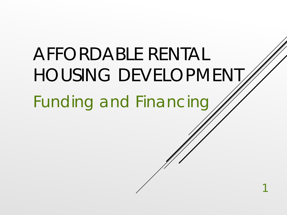AFFORDABLE RENTAL HOUSING DEVELOPMENT Funding and Financing 1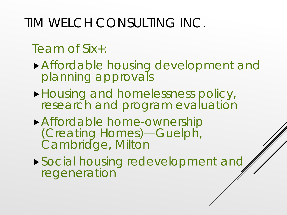### TIM WELCH CONSULTING INC.

#### Team of Six+:

- Affordable housing development and planning approvals
- **Housing and homelessness policy,** research and program evaluation
- Affordable home-ownership (Creating Homes)—Guelph, Cambridge, Milton
- Social housing redevelopment and regeneration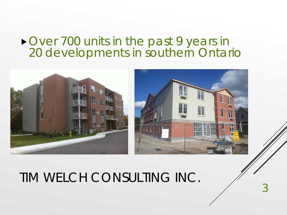#### ▶ Over 700 units in the past 9 years in 20 developments in southern Ontario



3

TIM WELCH CONSULTING INC.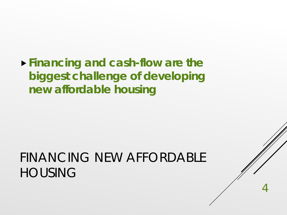**Financing and cash-flow are the biggest challenge of developing new affordable housing**

### FINANCING NEW AFFORDABLE HOUSING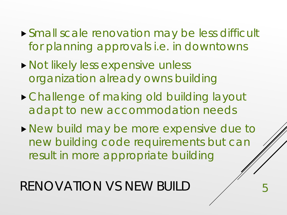- Small scale renovation may be less difficult for planning approvals i.e. in downtowns
- **Not likely less expensive unless** organization already owns building
- Challenge of making old building layout adapt to new accommodation needs
- **New build may be more expensive due to** new building code requirements but can result in more appropriate building

RENOVATION VS NEW BUILD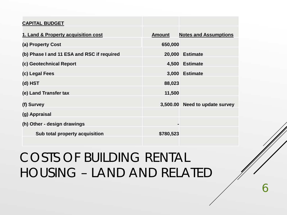| <b>CAPITAL BUDGET</b>                      |               |                              |
|--------------------------------------------|---------------|------------------------------|
| 1. Land & Property acquisition cost        | <b>Amount</b> | <b>Notes and Assumptions</b> |
| (a) Property Cost                          | 650,000       |                              |
| (b) Phase I and 11 ESA and RSC if required | 20,000        | <b>Estimate</b>              |
| (c) Geotechnical Report                    | 4,500         | <b>Estimate</b>              |
| (c) Legal Fees                             | 3,000         | <b>Estimate</b>              |
| (d) HST                                    | 88,023        |                              |
| (e) Land Transfer tax                      | 11,500        |                              |
| (f) Survey                                 | 3,500.00      | Need to update survey        |
| (g) Appraisal                              |               |                              |
| (h) Other - design drawings                |               |                              |
| Sub total property acquisition             | \$780,523     |                              |

## COSTS OF BUILDING RENTAL HOUSING – LAND AND RELATED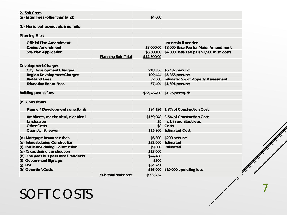| 2. Soft Costs                           |                           |             |                                                     |
|-----------------------------------------|---------------------------|-------------|-----------------------------------------------------|
| (a) Legal Fees (other than land)        |                           | 14,000      |                                                     |
|                                         |                           |             |                                                     |
| (b) Municipal approvals & permits       |                           |             |                                                     |
|                                         |                           |             |                                                     |
| <b>Planning Fees</b>                    |                           |             |                                                     |
|                                         |                           |             |                                                     |
| <b>Official Plan Amendment</b>          |                           |             | uncertain if needed                                 |
| <b>Zoning Amendment</b>                 |                           |             | \$8,000.00 \$8,000 Base Fee for Major Amendment     |
| <b>Site Plan Application</b>            |                           |             | \$6,500.00 \$4,000 Base Fee plus \$2,500 misc costs |
|                                         | <b>Planning Sub-Total</b> | \$14,500.00 |                                                     |
|                                         |                           |             |                                                     |
| <b>Development Charges</b>              |                           |             |                                                     |
| <b>City Development Charges</b>         |                           |             | 218,858 \$6,437 per unit                            |
| <b>Region Development Charges</b>       |                           |             | 199,444 \$5,866 per unit                            |
| <b>Parkland Fees</b>                    |                           |             | 32,500 Estimate: 5% of Property Assessment          |
| <b>Education Board Fees</b>             |                           |             | 57,494 \$1,691 per unit                             |
|                                         |                           |             |                                                     |
| <b>Building permit fees</b>             |                           |             | \$35,784.00 \$1.26 per sq. ft.                      |
|                                         |                           |             |                                                     |
| (c) Consultants                         |                           |             |                                                     |
|                                         |                           |             |                                                     |
| Planner/ Development consultants        |                           |             | \$94,197 1.8% of Construction Cost                  |
| Architects, mechanical, electrical      |                           |             | \$159,040 3.5% of Construction Cost                 |
| Landscape                               |                           |             | \$0 Incl. in architect fees                         |
| <b>Other Costs</b>                      |                           |             | \$0 Costs                                           |
| Quantity Surveyor                       |                           |             | \$15,300 Estimated Cost                             |
|                                         |                           |             |                                                     |
| (d) Mortgage Insurance fees             |                           |             | \$6,800 \$200 per unit                              |
| (e) Interest during Construction        |                           |             | \$32,000 Estimated                                  |
| (f) Insurance during Construction       |                           |             | \$9,000 Estimated                                   |
| (g) Taxes during construction           |                           | \$13,000    |                                                     |
| (h) One year bus pass for all residents |                           | \$24,480    |                                                     |
| (i) Government Signage                  |                           | \$600       |                                                     |
| (j) HST                                 |                           | \$34,741    |                                                     |
| (k) Other Soft Costs                    |                           |             | \$16,000 \$10,000 operating loss                    |
|                                         | Sub total soft costs      | \$992,237   |                                                     |

## SOFT COSTS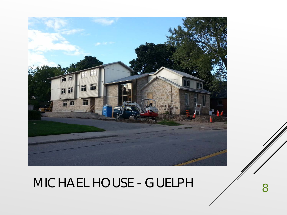

# MICHAEL HOUSE - GUELPH 8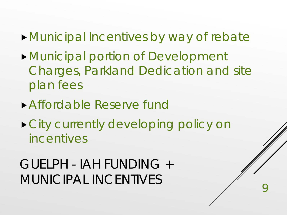- Municipal Incentives by way of rebate
- Municipal portion of Development Charges, Parkland Dedication and site plan fees
- Affordable Reserve fund
- City currently developing policy on incentives

GUELPH - IAH FUNDING + MUNICIPAL INCENTIVES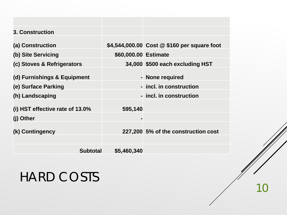| <b>3. Construction</b>             |                      |                                             |
|------------------------------------|----------------------|---------------------------------------------|
|                                    |                      |                                             |
| (a) Construction                   |                      | \$4,544,000.00 Cost @ \$160 per square foot |
| (b) Site Servicing                 | \$60,000.00 Estimate |                                             |
| (c) Stoves & Refrigerators         |                      | 34,000 \$500 each excluding HST             |
|                                    |                      |                                             |
| (d) Furnishings & Equipment        |                      | - None required                             |
| (e) Surface Parking                |                      | - incl. in construction                     |
| (h) Landscaping                    |                      | - incl. in construction                     |
|                                    |                      |                                             |
| (i) HST effective rate of $13.0\%$ | 595,140              |                                             |
| (j) Other                          | ь                    |                                             |
|                                    |                      |                                             |
| (k) Contingency                    |                      | 227,200 5% of the construction cost         |
|                                    |                      |                                             |
| <b>Subtotal</b>                    | \$5,460,340          |                                             |

## HARD COSTS

10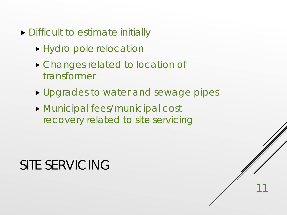- ▶ Difficult to estimate initially
	- Hydro pole relocation
	- ▶ Changes related to location of transformer
	- **Upgrades to water and sewage pipes**

 Municipal fees/municipal cost recovery related to site servicing

### SITE SERVICING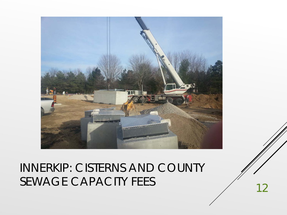

## INNERKIP: CISTERNS AND COUNTY SEWAGE CAPACITY FEES 12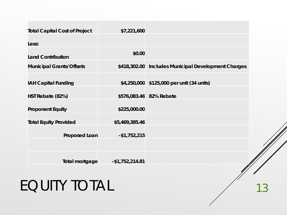| \$0.00               |                                                     |
|----------------------|-----------------------------------------------------|
|                      | \$418,302.00 Includes Municipal Development Charges |
|                      | \$4,250,000 \$125,000 per unit (34 units)           |
|                      |                                                     |
|                      | \$576,083.46 82% Rebate                             |
| \$225,000.00         |                                                     |
| \$5,469,385.46       |                                                     |
| <b>Proposed Loan</b> |                                                     |
|                      |                                                     |
| Total mortgage       |                                                     |
|                      | \$7,221,600<br>$-$1,752,215$<br>$-$1,752,214.81$    |

# EQUITY TOTAL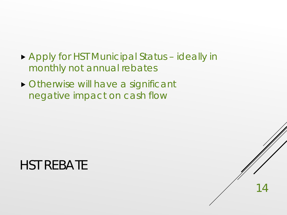Apply for HST Municipal Status – ideally in monthly not annual rebates

14

 Otherwise will have a significant negative impact on cash flow

### HST REBATE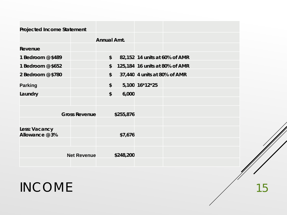| <b>Projected Income Statement</b> |                      |                           |           |                                |  |
|-----------------------------------|----------------------|---------------------------|-----------|--------------------------------|--|
|                                   |                      | <b>Annual Amt.</b>        |           |                                |  |
| Revenue                           |                      |                           |           |                                |  |
| 1 Bedroom @ \$489                 |                      | $\boldsymbol{\mathsf{s}}$ |           | 82,152 14 units at 60% of AMR  |  |
| 1 Bedroom @ \$652                 |                      | \$                        |           | 125,184 16 units at 80% of AMR |  |
| 2 Bedroom @ \$780                 |                      | $\boldsymbol{\mathsf{S}}$ |           | 37,440 4 units at 80% of AMR   |  |
| <b>Parking</b>                    |                      | \$                        |           | 5,100 16*12*25                 |  |
| Laundry                           |                      | $\boldsymbol{\mathsf{S}}$ | 6,000     |                                |  |
|                                   |                      |                           |           |                                |  |
|                                   | <b>Gross Revenue</b> |                           | \$255,876 |                                |  |
| Less: Vacancy<br>Allowance @ 3%   |                      |                           | \$7,676   |                                |  |
|                                   |                      |                           |           |                                |  |
|                                   | <b>Net Revenue</b>   |                           | \$248,200 |                                |  |

INCOME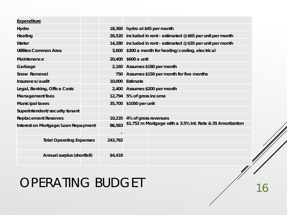| <b>Expenditure</b>                  |         |                                                               |
|-------------------------------------|---------|---------------------------------------------------------------|
| Hydro                               |         | 18,360 hydro at \$45 per month                                |
| Heating                             |         | 26,520 included in rent - estimated @ \$65 per unit per month |
| Water                               |         | 14,280 included in rent - estimated @ \$35 per unit per month |
| <b>Utilities Common Area</b>        |         | 3,600 \$300 a month for heating/cooling, electrical           |
| <b>Maintenance</b>                  |         | 20,400 \$600 a unit                                           |
| Garbage                             |         | 2,160 Assumes \$180 per month                                 |
| Snow Removal                        |         | 750 Assumes \$150 per month for five months                   |
| Insurance/audit                     |         | 10,000 Estimate                                               |
| Legal, Banking, Office Costs        |         | 2,400 Assumes \$200 per month                                 |
| <b>Management fees</b>              |         | 12,794 5% of gross income                                     |
| <b>Municipal taxes</b>              |         | 35,700 \$1050 per unit                                        |
| Superintendent/security tenant      |         |                                                               |
| <b>Replacement Reserves</b>         | 10,235  | 4% of gross revenues                                          |
| Interest on Mortgage/Loan Repayment | 86,583  | \$1.752 m Mortgage with a 3.5% Int. Rate & 35 Amortization    |
|                                     |         |                                                               |
| <b>Total Operating Expenses</b>     | 243,782 |                                                               |
|                                     |         |                                                               |
| Annual surplus (shortfall)          | \$4,418 |                                                               |
|                                     |         | I                                                             |

### OPERATING BUDGET

16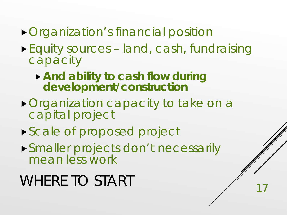- **Organization's financial position**
- Equity sources land, cash, fundraising capacity
	- **And ability to cash flow during development/construction**
- ▶ Organization capacity to take on a capital project
- Scale of proposed project
- Smaller projects don't necessarily mean less work

# WHERE TO START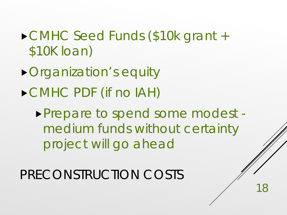- CMHC Seed Funds (\$10k grant + \$10K loan)
- Organization's equity
- CMHC PDF (if no IAH)

Prepare to spend some modest medium funds without certainty project will go ahead

18

PRECONSTRUCTION COSTS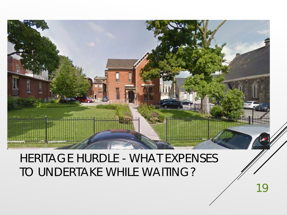

#### HERITAGE HURDLE - WHAT EXPENSES TO UNDERTAKE WHILE WAITING?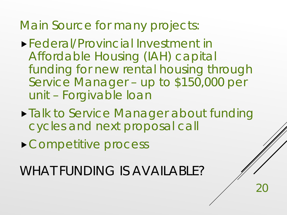Main Source for many projects:

- Federal/Provincial Investment in Affordable Housing (IAH) capital funding for new rental housing through Service Manager – up to \$150,000 per unit – Forgivable loan
- **Talk to Service Manager about funding** cycles and next proposal call

20

▶ Competitive process

WHAT FUNDING IS AVAILABLE?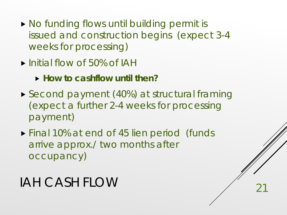- ▶ No funding flows until building permit is issued and construction begins (expect 3-4 weeks for processing)
- Initial flow of 50% of IAH
	- **How to cashflow until then?**
- ▶ Second payment (40%) at structural framing (expect a further 2-4 weeks for processing payment)

▶ Final 10% at end of 45 lien period (funds arrive approx./ two months after occupancy)

## IAH CASH FLOW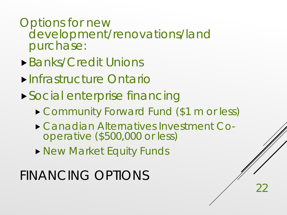#### Options for new development/renovations/land purchase:

- Banks/Credit Unions
- Infrastructure Ontario
- Social enterprise financing
	- ▶ Community Forward Fund (\$1 m or less)
	- Canadian Alternatives Investment Co- operative (\$500,000 or less)
	- **New Market Equity Funds**

## FINANCING OPTIONS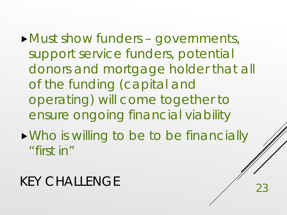Must show funders – governments, support service funders, potential donors and mortgage holder that all of the funding (capital and operating) will come together to ensure ongoing financial viability

Who is willing to be to be financially "first in"

### KEY CHALLENGE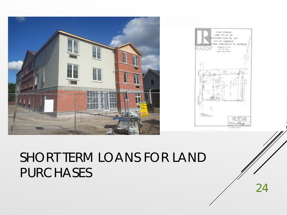

## SHORT TERM LOANS FOR LAND PURCHASES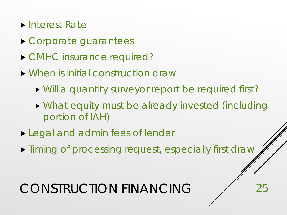- ▶ Interest Rate
- Corporate guarantees
- ▶ CMHC insurance required?
- When is initial construction draw
	- Will a quantity surveyor report be required first?
	- What equity must be already invested (including portion of IAH)

- **Legal and admin fees of lender**
- $\triangleright$  Timing of processing request, especially first draw

## CONSTRUCTION FINANCING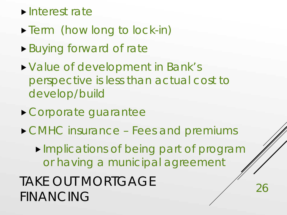#### **Interest rate**

- Term (how long to lock-in)
- Buying forward of rate
- Value of development in Bank's perspective is less than actual cost to develop/build
- Corporate guarantee
- ▶ CMHC insurance Fees and premiums

**Implications of being part of program** or having a municipal agreement

26

TAKE OUT MORTGAGE FINANCING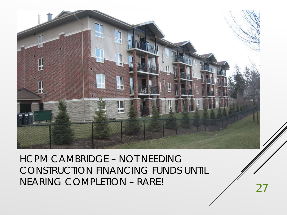

HCPM CAMBRIDGE – NOT NEEDING CONSTRUCTION FINANCING FUNDS UNTIL NEARING COMPLETION – RARE!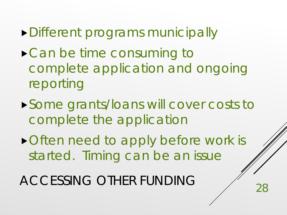- Different programs municipally
- ▶ Can be time consuming to complete application and ongoing reporting
- Some grants/loans will cover costs to complete the application
- ▶ Often need to apply before work is started. Timing can be an issue

ACCESSING OTHER FUNDING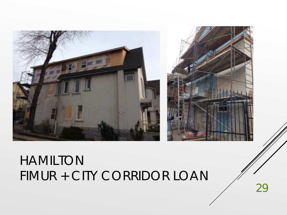

### HAMILTON FIMUR + CITY CORRIDOR LOAN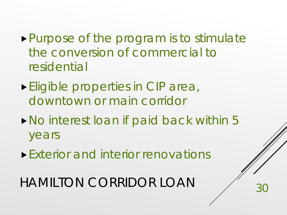- Purpose of the program is to stimulate the conversion of commercial to residential
- **Eligible properties in CIP area,** downtown or main corridor
- ▶ No interest loan if paid back within 5 years

Exterior and interior renovations

HAMILTON CORRIDOR LOAN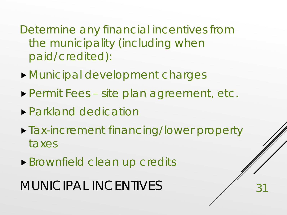Determine any financial incentives from the municipality (including when paid/credited):

- Municipal development charges
- Permit Fees site plan agreement, etc.
- Parkland dedication
- **Tax-increment financing/lower property** taxes

31

Brownfield clean up credits

MUNICIPAL INCENTIVES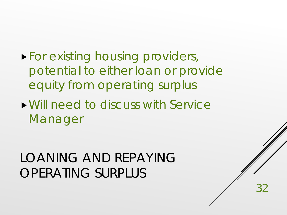- **For existing housing providers,** potential to either loan or provide equity from operating surplus
- Will need to discuss with Service Manager

### LOANING AND REPAYING OPERATING SURPLUS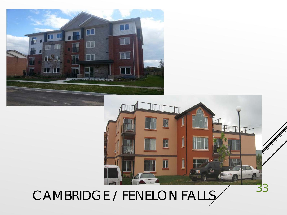



CAMBRIDGE / FENELON FALLS 33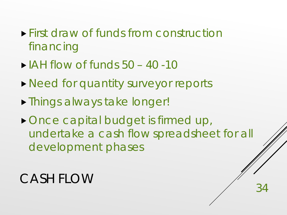- **First draw of funds from construction** financing
- $\blacktriangleright$  IAH flow of funds 50 40 -10
- ▶ Need for quantity surveyor reports
- Things always take longer!
- Once capital budget is firmed up, undertake a cash flow spreadsheet for all development phases

### CASH FLOW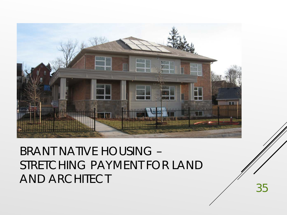

### BRANT NATIVE HOUSING – STRETCHING PAYMENT FOR LAND AND ARCHITECT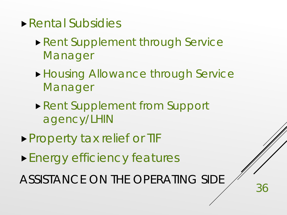- Rental Subsidies
	- ▶ Rent Supplement through Service Manager
	- **Housing Allowance through Service** Manager
	- ▶ Rent Supplement from Support agency/LHIN
- **Property tax relief or TIF**
- Energy efficiency features

ASSISTANCE ON THE OPERATING SIDE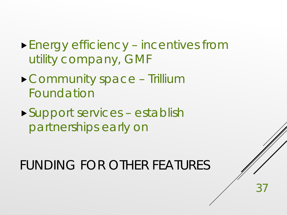- Energy efficiency incentives from utility company, GMF
- Community space Trillium Foundation
- Support services establish partnerships early on

FUNDING FOR OTHER FEATURES

 $3<sup>7</sup>$